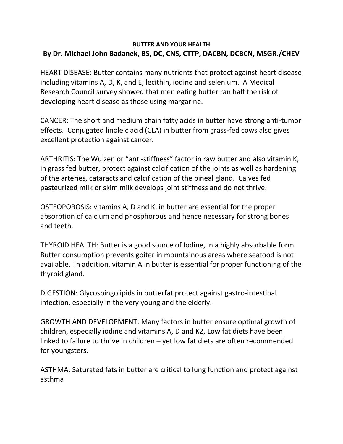## **BUTTER AND YOUR HEALTH By Dr. Michael John Badanek, BS, DC, CNS, CTTP, DACBN, DCBCN, MSGR./CHEV**

HEART DISEASE: Butter contains many nutrients that protect against heart disease including vitamins A, D, K, and E; lecithin, iodine and selenium. A Medical Research Council survey showed that men eating butter ran half the risk of developing heart disease as those using margarine.

CANCER: The short and medium chain fatty acids in butter have strong anti-tumor effects. Conjugated linoleic acid (CLA) in butter from grass-fed cows also gives excellent protection against cancer.

ARTHRITIS: The Wulzen or "anti-stiffness" factor in raw butter and also vitamin K, in grass fed butter, protect against calcification of the joints as well as hardening of the arteries, cataracts and calcification of the pineal gland. Calves fed pasteurized milk or skim milk develops joint stiffness and do not thrive.

OSTEOPOROSIS: vitamins A, D and K, in butter are essential for the proper absorption of calcium and phosphorous and hence necessary for strong bones and teeth.

THYROID HEALTH: Butter is a good source of Iodine, in a highly absorbable form. Butter consumption prevents goiter in mountainous areas where seafood is not available. In addition, vitamin A in butter is essential for proper functioning of the thyroid gland.

DIGESTION: Glycospingolipids in butterfat protect against gastro-intestinal infection, especially in the very young and the elderly.

GROWTH AND DEVELOPMENT: Many factors in butter ensure optimal growth of children, especially iodine and vitamins A, D and K2, Low fat diets have been linked to failure to thrive in children – yet low fat diets are often recommended for youngsters.

ASTHMA: Saturated fats in butter are critical to lung function and protect against asthma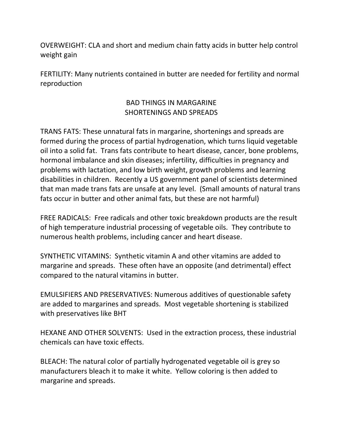OVERWEIGHT: CLA and short and medium chain fatty acids in butter help control weight gain

FERTILITY: Many nutrients contained in butter are needed for fertility and normal reproduction

## BAD THINGS IN MARGARINE SHORTENINGS AND SPREADS

TRANS FATS: These unnatural fats in margarine, shortenings and spreads are formed during the process of partial hydrogenation, which turns liquid vegetable oil into a solid fat. Trans fats contribute to heart disease, cancer, bone problems, hormonal imbalance and skin diseases; infertility, difficulties in pregnancy and problems with lactation, and low birth weight, growth problems and learning disabilities in children. Recently a US government panel of scientists determined that man made trans fats are unsafe at any level. (Small amounts of natural trans fats occur in butter and other animal fats, but these are not harmful)

FREE RADICALS: Free radicals and other toxic breakdown products are the result of high temperature industrial processing of vegetable oils. They contribute to numerous health problems, including cancer and heart disease.

SYNTHETIC VITAMINS: Synthetic vitamin A and other vitamins are added to margarine and spreads. These often have an opposite (and detrimental) effect compared to the natural vitamins in butter.

EMULSIFIERS AND PRESERVATIVES: Numerous additives of questionable safety are added to margarines and spreads. Most vegetable shortening is stabilized with preservatives like BHT

HEXANE AND OTHER SOLVENTS: Used in the extraction process, these industrial chemicals can have toxic effects.

BLEACH: The natural color of partially hydrogenated vegetable oil is grey so manufacturers bleach it to make it white. Yellow coloring is then added to margarine and spreads.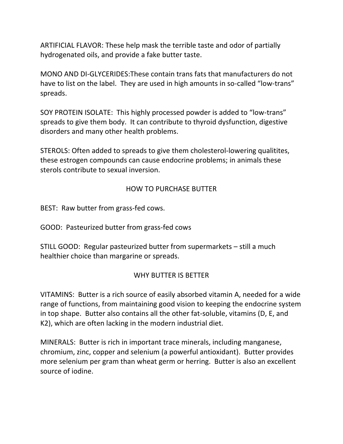ARTIFICIAL FLAVOR: These help mask the terrible taste and odor of partially hydrogenated oils, and provide a fake butter taste.

MONO AND DI-GLYCERIDES:These contain trans fats that manufacturers do not have to list on the label. They are used in high amounts in so-called "low-trans" spreads.

SOY PROTEIN ISOLATE: This highly processed powder is added to "low-trans" spreads to give them body. It can contribute to thyroid dysfunction, digestive disorders and many other health problems.

STEROLS: Often added to spreads to give them cholesterol-lowering qualitites, these estrogen compounds can cause endocrine problems; in animals these sterols contribute to sexual inversion.

## HOW TO PURCHASE BUTTER

BEST: Raw butter from grass-fed cows.

GOOD: Pasteurized butter from grass-fed cows

STILL GOOD: Regular pasteurized butter from supermarkets – still a much healthier choice than margarine or spreads.

## WHY BUTTER IS BETTER

VITAMINS: Butter is a rich source of easily absorbed vitamin A, needed for a wide range of functions, from maintaining good vision to keeping the endocrine system in top shape. Butter also contains all the other fat-soluble, vitamins (D, E, and K2), which are often lacking in the modern industrial diet.

MINERALS: Butter is rich in important trace minerals, including manganese, chromium, zinc, copper and selenium (a powerful antioxidant). Butter provides more selenium per gram than wheat germ or herring. Butter is also an excellent source of iodine.